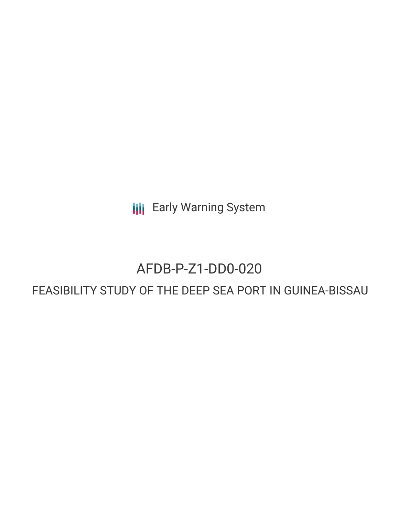**III** Early Warning System

# AFDB-P-Z1-DD0-020

# FEASIBILITY STUDY OF THE DEEP SEA PORT IN GUINEA-BISSAU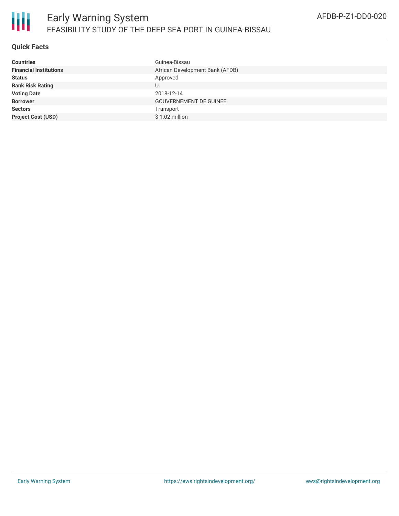

### **Quick Facts**

| Guinea-Bissau                   |
|---------------------------------|
| African Development Bank (AFDB) |
| Approved                        |
|                                 |
| 2018-12-14                      |
| <b>GOUVERNEMENT DE GUINEE</b>   |
| Transport                       |
| $$1.02$ million                 |
|                                 |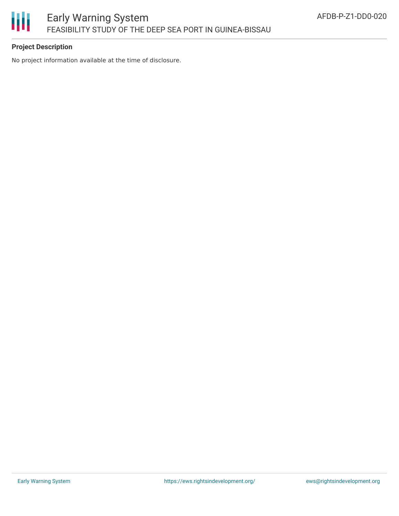

## **Project Description**

No project information available at the time of disclosure.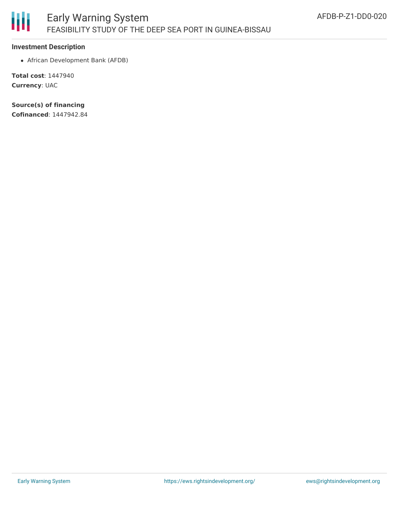

#### **Investment Description**

African Development Bank (AFDB)

**Total cost**: 1447940 **Currency**: UAC

**Source(s) of financing Cofinanced**: 1447942.84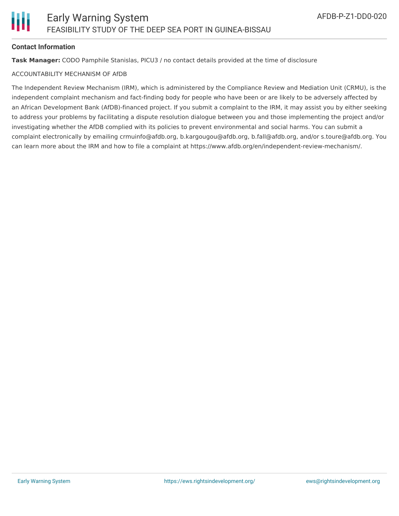#### **Contact Information**

**Task Manager:** CODO Pamphile Stanislas, PICU3 / no contact details provided at the time of disclosure

#### ACCOUNTABILITY MECHANISM OF AfDB

The Independent Review Mechanism (IRM), which is administered by the Compliance Review and Mediation Unit (CRMU), is the independent complaint mechanism and fact-finding body for people who have been or are likely to be adversely affected by an African Development Bank (AfDB)-financed project. If you submit a complaint to the IRM, it may assist you by either seeking to address your problems by facilitating a dispute resolution dialogue between you and those implementing the project and/or investigating whether the AfDB complied with its policies to prevent environmental and social harms. You can submit a complaint electronically by emailing crmuinfo@afdb.org, b.kargougou@afdb.org, b.fall@afdb.org, and/or s.toure@afdb.org. You can learn more about the IRM and how to file a complaint at https://www.afdb.org/en/independent-review-mechanism/.